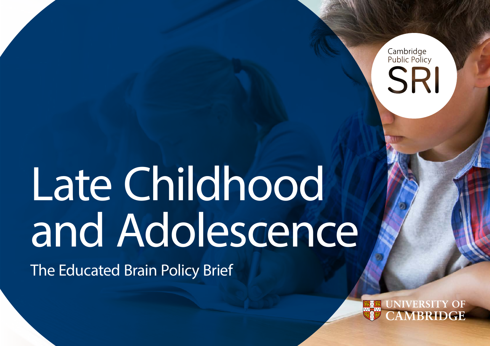Cambridge<br>Public Policy SRI

# Late Childhood and Adolescence

The Educated Brain Policy Brief

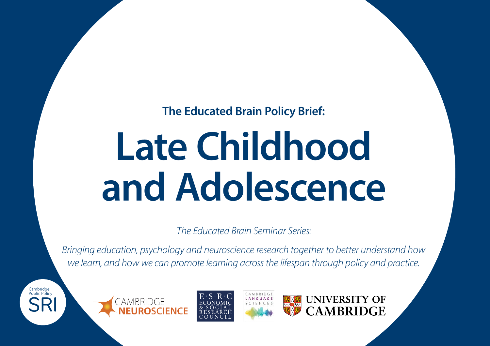**The Educated Brain Policy Brief:**

# **Late Childhood and Adolescence**

*The Educated Brain Seminar Series:* 

*Bringing education, psychology and neuroscience research together to better understand how we learn, and how we can promote learning across the lifespan through policy and practice.*

Cambridge<br>Public Policy







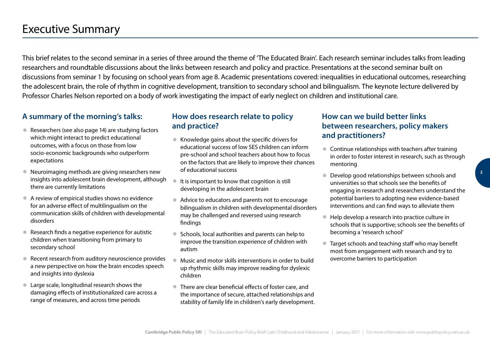# <span id="page-2-0"></span>Executive Summary

This brief relates to the second seminar in a series of three around the theme of 'The Educated Brain'. Each research seminar includes talks from leading researchers and roundtable discussions about the links between research and policy and practice. Presentations at the second seminar built on discussions from seminar 1 by focusing on school years from age 8. Academic presentations covered: inequalities in educational outcomes, researching the adolescent brain, the role of rhythm in cognitive development, transition to secondary school and bilingualism. The keynote lecture delivered by Professor Charles Nelson reported on a body of work investigating the impact of early neglect on children and institutional care.

#### **A summary of the morning's talks:**

- Researchers (see also page 14) are studying factors which might interact to predict educational outcomes, with a focus on those from low socio-economic backgrounds who outperform expectations
- Neuroimaging methods are giving researchers new insights into adolescent brain development, although there are currently limitations
- A review of empirical studies shows no evidence for an adverse effect of multilingualism on the communication skills of children with developmental disorders
- Research finds a negative experience for autistic children when transitioning from primary to secondary school
- Recent research from auditory neuroscience provides a new perspective on how the brain encodes speech and insights into dyslexia
- Large scale, longitudinal research shows the damaging effects of institutionalized care across a range of measures, and across time periods

#### **How does research relate to policy and practice?**

- Knowledge gains about the specific drivers for educational success of low SES children can inform pre-school and school teachers about how to focus on the factors that are likely to improve their chances of educational success
- It is important to know that cognition is still developing in the adolescent brain
- Advice to educators and parents not to encourage bilingualism in children with developmental disorders may be challenged and reversed using research findings
- Schools, local authorities and parents can help to improve the transition experience of children with autism
- Music and motor skills interventions in order to build up rhythmic skills may improve reading for dyslexic children
- There are clear beneficial effects of foster care, and the importance of secure, attached relationships and stability of family life in children's early development.

#### **How can we build better links between researchers, policy makers and practitioners?**

- Continue relationships with teachers after training in order to foster interest in research, such as through mentoring
- Develop good relationships between schools and universities so that schools see the benefits of engaging in research and researchers understand the potential barriers to adopting new evidence-based interventions and can find ways to alleviate them
- Help develop a research into practice culture in schools that is supportive; schools see the benefits of becoming a 'research school'
- Target schools and teaching staff who may benefit most from engagement with research and try to overcome barriers to participation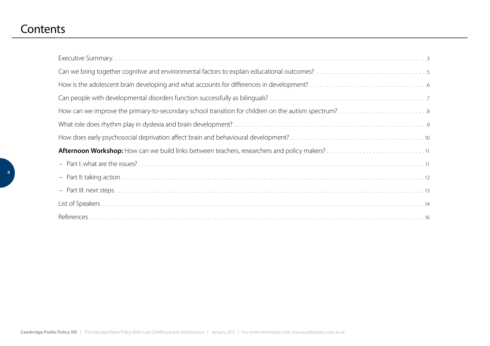## **Contents**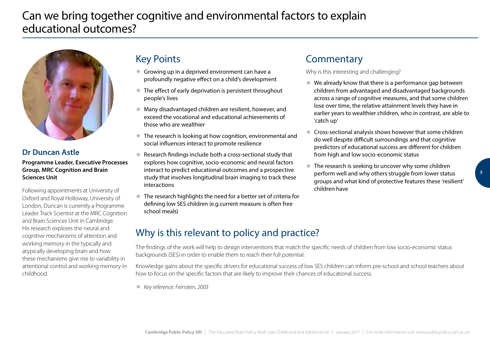<span id="page-4-0"></span>

### **Dr Duncan Astle**

**Programme Leader, Executive Processes Group, MRC Cognition and Brain Sciences Unit**

Following appointments at University of Oxford and Royal Holloway, University of London, Duncan is currently a Programme Leader Track Scientist at the MRC Cognition and Brain Sciences Unit in Cambridge. His research explores the neural and cognitive mechanisms of attention and working memory in the typically and atypically developing brain and how these mechanisms give rise to variability in attentional control and working memory in childhood.

## Key Points

- Growing up in a deprived environment can have a profoundly negative effect on a child's development
- The effect of early deprivation is persistent throughout people's lives
- Many disadvantaged children are resilient, however, and exceed the vocational and educational achievements of those who are wealthier
- The research is looking at how cognition, environmental and social influences interact to promote resilience
- Research findings include both a cross-sectional study that explores how cognitive, socio-economic and neural factors interact to predict educational outcomes and a prospective study that involves longitudinal brain imaging to track these interactions
- The research highlights the need for a better set of criteria for defining low SES children (e.g.current measure is often free school meals)

## **Commentary**

Why is this interesting and challenging?

- We already know that there is a performance gap between children from advantaged and disadvantaged backgrounds across a range of cognitive measures, and that some children lose over time, the relative attainment levels they have in earlier years to wealthier children, who in contrast, are able to 'catch up'
- Cross-sectional analysis shows however that some children do well despite difficult surroundings and that cognitive predictors of educational success are different for children from high and low socio-economic status
- The research is seeking to uncover why some children perform well and why others struggle from lower status groups and what kind of protective features these 'resilient' children have

## Why is this relevant to policy and practice?

The findings of the work will help to design interventions that match the specific needs of children from low socio-economic status backgrounds (SES) in order to enable them to reach their full potential.

Knowledge gains about the specific drivers for educational success of low SES children can inform pre-school and school teachers about how to focus on the specific factors that are likely to improve their chances of educational success.

● *Key reference: Feinstein, 2003*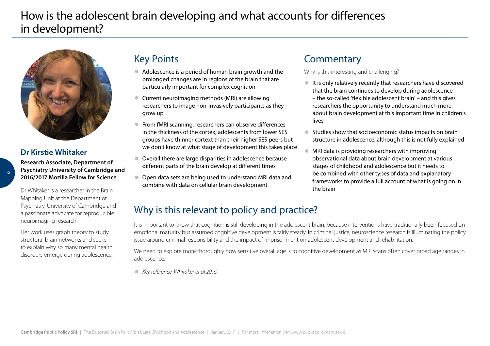# <span id="page-5-0"></span>How is the adolescent brain developing and what accounts for differences in development?



### **Dr Kirstie Whitaker**

**Research Associate, Department of Psychiatry University of Cambridge and 2016/2017 Mozilla Fellow for Science**

Dr Whitaker is a researcher in the Brain Mapping Unit at the Department of Psychiatry, University of Cambridge and a passionate advocate for reproducible neuroimaging research.

Her work uses graph theory to study structural brain networks and seeks to explain why so many mental health disorders emerge during adolescence.

## Key Points

- Adolescence is a period of human brain growth and the prolonged changes are in regions of the brain that are particularly important for complex cognition
- Current neuroimaging methods (MRI) are allowing researchers to image non-invasively participants as they grow up
- From fMRI scanning, researchers can observe differences in the thickness of the cortex; adolescents from lower SES groups have thinner cortext than their higher SES peers but we don't know at what stage of development this takes place
- Overall there are large disparities in adolescence because different parts of the brain develop at different times
- Open data sets are being used to understand MRI data and combine with data on cellular brain development

## **Commentary**

Why is this interesting and challenging?

- It is only relatively recently that researchers have discovered that the brain continues to develop during adolescence – the so-called 'flexible adolescent brain' – and this gives researchers the opportunity to understand much more about brain development at this important time in children's lives
- Studies show that socioeconomic status impacts on brain structure in adolescence, although this is not fully explained
- MRI data is providing researchers with improving observational data about brain development at various stages of childhood and adolescence but it needs to be combined with other types of data and explanatory frameworks to provide a full account of what is going on in the brain

## Why is this relevant to policy and practice?

It is important to know that cognition is still developing in the adolescent brain, because interventions have traditionally been focused on emotional maturity but assumed cognitive development is fairly steady. In criminal justice, neuroscience research is illuminating the policy issue around criminal responsibility and the impact of imprisonment on adolescent development and rehabilitation.

We need to explore more thoroughly how sensitive overall age is to cognitive development as MRI scans often cover broad age ranges in adolescence.

● *Key reference: Whitaker et al 2016*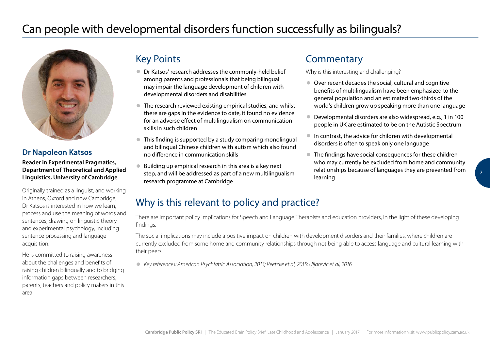<span id="page-6-0"></span>

#### **Dr Napoleon Katsos**

**Reader in Experimental Pragmatics, Department of Theoretical and Applied Linguistics, University of Cambridge**

Originally trained as a linguist, and working in Athens, Oxford and now Cambridge, Dr Katsos is interested in how we learn, process and use the meaning of words and sentences, drawing on linguistic theory and experimental psychology, including sentence processing and language acquisition.

He is committed to raising awareness about the challenges and benefits of raising children bilingually and to bridging information gaps between researchers, parents, teachers and policy makers in this area.

## Key Points

- Dr Katsos' research addresses the commonly-held belief among parents and professionals that being bilingual may impair the language development of children with developmental disorders and disabilities
- The research reviewed existing empirical studies, and whilst there are gaps in the evidence to date, it found no evidence for an adverse effect of multilingualism on communication skills in such children
- This finding is supported by a study comparing monolingual and bilingual Chinese children with autism which also found no difference in communication skills
- Building up empirical research in this area is a key next step, and will be addressed as part of a new multilingualism research programme at Cambridge

## **Commentary**

Why is this interesting and challenging?

- Over recent decades the social, cultural and cognitive benefits of multilingualism have been emphasized to the general population and an estimated two-thirds of the world's children grow up speaking more than one language
- Developmental disorders are also widespread, e.g., 1 in 100 people in UK are estimated to be on the Autistic Spectrum
- In contrast, the advice for children with developmental disorders is often to speak only one language
- The findings have social consequences for these children who may currently be excluded from home and community relationships because of languages they are prevented from learning

# **7**

## Why is this relevant to policy and practice?

There are important policy implications for Speech and Language Therapists and education providers, in the light of these developing findings.

The social implications may include a positive impact on children with development disorders and their families, where children are currently excluded from some home and community relationships through not being able to access language and cultural learning with their peers.

● *Key references: American Psychiatric Association, 2013; Reetzke et al, 2015; Uljarevic et al, 2016*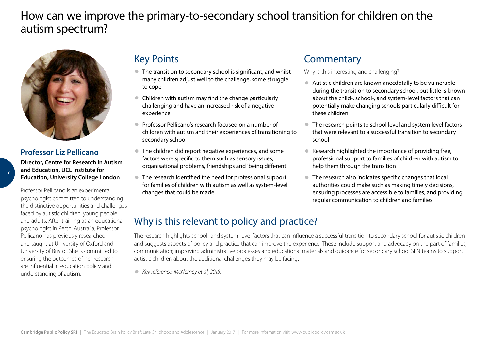# <span id="page-7-0"></span>How can we improve the primary-to-secondary school transition for children on the autism spectrum?



## **Professor Liz Pellicano**

**Director, Centre for Research in Autism and Education, UCL Institute for Education, University College London**

Professor Pellicano is an experimental psychologist committed to understanding the distinctive opportunities and challenges faced by autistic children, young people and adults. After training as an educational psychologist in Perth, Australia, Professor Pellicano has previously researched and taught at University of Oxford and University of Bristol. She is committed to ensuring the outcomes of her research are influential in education policy and understanding of autism.

## Key Points

- The transition to secondary school is significant, and whilst many children adjust well to the challenge, some struggle to cope
- Children with autism may find the change particularly challenging and have an increased risk of a negative experience
- Professor Pellicano's research focused on a number of children with autism and their experiences of transitioning to secondary school
- The children did report negative experiences, and some factors were specific to them such as sensory issues, organisational problems, friendships and 'being different'
- The research identified the need for professional support for families of children with autism as well as system-level changes that could be made

## **Commentary**

Why is this interesting and challenging?

- Autistic children are known anecdotally to be vulnerable during the transition to secondary school, but little is known about the child-, school-, and system-level factors that can potentially make changing schools particularly difficult for these children
- The research points to school level and system level factors that were relevant to a successful transition to secondary school
- Research highlighted the importance of providing free, professional support to families of children with autism to help them through the transition
- The research also indicates specific changes that local authorities could make such as making timely decisions, ensuring processes are accessible to families, and providing regular communication to children and families

## Why is this relevant to policy and practice?

The research highlights school- and system-level factors that can influence a successful transition to secondary school for autistic children and suggests aspects of policy and practice that can improve the experience. These include support and advocacy on the part of families; communication; improving administrative processes and educational materials and guidance for secondary school SEN teams to support autistic children about the additional challenges they may be facing.

● *Key reference: McNerney et al, 2015.*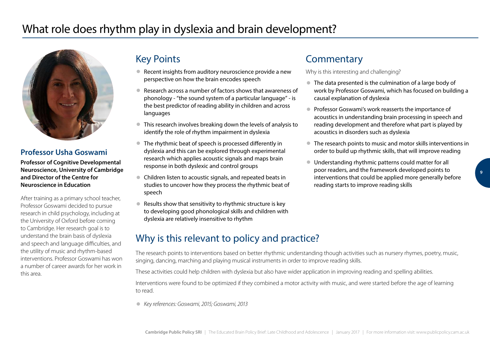<span id="page-8-0"></span>

#### **Professor Usha Goswami**

**Professor of Cognitive Developmental Neuroscience, University of Cambridge and Director of the Centre for Neuroscience in Education**

After training as a primary school teacher, Professor Goswami decided to pursue research in child psychology, including at the University of Oxford before coming to Cambridge. Her research goal is to understand the brain basis of dyslexia and speech and language difficulties, and the utility of music and rhythm-based interventions. Professor Goswami has won a number of career awards for her work in this area.

## Key Points

- Recent insights from auditory neuroscience provide a new perspective on how the brain encodes speech
- Research across a number of factors shows that awareness of phonology - "the sound system of a particular language" - is the best predictor of reading ability in children and across languages
- This research involves breaking down the levels of analysis to identify the role of rhythm impairment in dyslexia
- The rhythmic beat of speech is processed differently in dyslexia and this can be explored through experimental research which applies acoustic signals and maps brain response in both dyslexic and control groups
- Children listen to acoustic signals, and repeated beats in studies to uncover how they process the rhythmic beat of speech
- Results show that sensitivity to rhythmic structure is key to developing good phonological skills and children with dyslexia are relatively insensitive to rhythm

## **Commentary**

Why is this interesting and challenging?

- The data presented is the culmination of a large body of work by Professor Goswami, which has focused on building a causal explanation of dyslexia
- Professor Goswami's work reasserts the importance of acoustics in understanding brain processing in speech and reading development and therefore what part is played by acoustics in disorders such as dyslexia
- The research points to music and motor skills interventions in order to build up rhythmic skills, that will improve reading
- Understanding rhythmic patterns could matter for all poor readers, and the framework developed points to interventions that could be applied more generally before reading starts to improve reading skills

## Why is this relevant to policy and practice?

The research points to interventions based on better rhythmic understanding though activities such as nursery rhymes, poetry, music, singing, dancing, marching and playing musical instruments in order to improve reading skills.

These activities could help children with dyslexia but also have wider application in improving reading and spelling abilities.

Interventions were found to be optimized if they combined a motor activity with music, and were started before the age of learning to read.

● *Key references: Goswami, 2015; Goswami, 2013*

**9**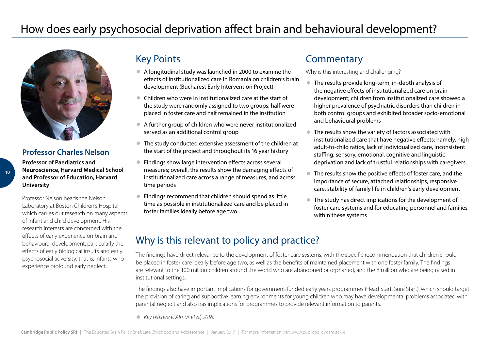<span id="page-9-0"></span>

#### **Professor Charles Nelson**

**Professor of Paediatrics and Neuroscience, Harvard Medical School and Professor of Education, Harvard University**

Professor Nelson heads the Nelson Laboratory at Boston Children's Hospital, which carries out research on many aspects of infant and child development. His research interests are concerned with the effects of early experience on brain and behavioural development, particularly the effects of early biological insults and early psychosocial adversity; that is, infants who experience profound early neglect.

## Key Points

- A longitudinal study was launched in 2000 to examine the effects of institutionalized care in Romania on children's brain development (Bucharest Early Intervention Project)
- Children who were in institutionalized care at the start of the study were randomly assigned to two groups; half were placed in foster care and half remained in the institution
- A further group of children who were never institutionalized served as an additional control group
- The study conducted extensive assessment of the children at the start of the project and throughout its 16 year history
- Findings show large intervention effects across several measures; overall, the results show the damaging effects of institutionalized care across a range of measures, and across time periods
- Findings recommend that children should spend as little time as possible in institutionalized care and be placed in foster families ideally before age two

## **Commentary**

Why is this interesting and challenging?

- The results provide long-term, in-depth analysis of the negative effects of institutionalized care on brain development; children from institutionalized care showed a higher prevalence of psychiatric disorders than children in both control groups and exhibited broader socio-emotional and behavioural problems
- The results show the variety of factors associated with institutionalized care that have negative effects; namely, high adult-to-child ratios, lack of individualized care, inconsistent staffing, sensory, emotional, cognitive and linguistic deprivation and lack of trustful relationships with caregivers.
- The results show the positive effects of foster care, and the importance of secure, attached relationships, responsive care, stability of family life in children's early development
- The study has direct implications for the development of foster care systems and for educating personnel and families within these systems

## Why is this relevant to policy and practice?

The findings have direct relevance to the development of foster care systems, with the specific recommendation that children should be placed in foster care ideally before age two; as well as the benefits of maintained placement with one foster family. The findings are relevant to the 100 million children around the world who are abandoned or orphaned, and the 8 million who are being raised in institutional settings.

The findings also have important implications for government-funded early years programmes (Head Start, Sure Start), which should target the provision of caring and supportive learning environments for young children who may have developmental problems associated with parental neglect and also has implications for programmes to provide relevant information to parents.

● *Key reference: Almas et al, 2016.*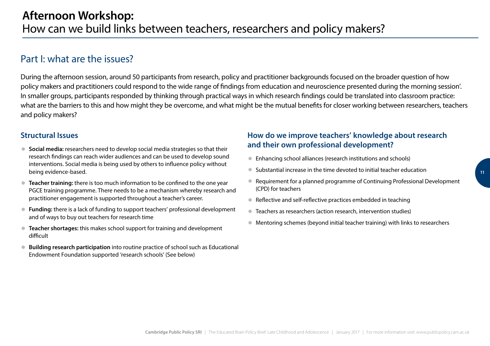## <span id="page-10-0"></span>Part I: what are the issues?

During the afternoon session, around 50 participants from research, policy and practitioner backgrounds focused on the broader question of how policy makers and practitioners could respond to the wide range of findings from education and neuroscience presented during the morning session'. In smaller groups, participants responded by thinking through practical ways in which research findings could be translated into classroom practice: what are the barriers to this and how might they be overcome, and what might be the mutual benefits for closer working between researchers, teachers and policy makers?

#### **Structural Issues**

- **Social media:** researchers need to develop social media strategies so that their research findings can reach wider audiences and can be used to develop sound interventions. Social media is being used by others to influence policy without being evidence-based.
- **Teacher training:** there is too much information to be confined to the one year PGCE training programme. There needs to be a mechanism whereby research and practitioner engagement is supported throughout a teacher's career.
- **Funding:** there is a lack of funding to support teachers' professional development and of ways to buy out teachers for research time
- **Teacher shortages:** this makes school support for training and development difficult
- **Building research participation** into routine practice of school such as Educational Endowment Foundation supported 'research schools' (See below)

#### **How do we improve teachers' knowledge about research and their own professional development?**

- Enhancing school alliances (research institutions and schools)
- Substantial increase in the time devoted to initial teacher education
- Requirement for a planned programme of Continuing Professional Development (CPD) for teachers
- Reflective and self-reflective practices embedded in teaching
- Teachers as researchers (action research, intervention studies)
- Mentoring schemes (beyond initial teacher training) with links to researchers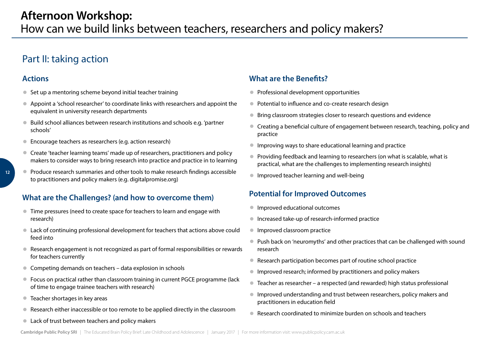## <span id="page-11-0"></span>Part II: taking action

#### **Actions**

- Set up a mentoring scheme beyond initial teacher training
- Appoint a 'school researcher' to coordinate links with researchers and appoint the equivalent in university research departments
- Build school alliances between research institutions and schools e.g. 'partner schools'
- Encourage teachers as researchers (e.g. action research)
- Create 'teacher learning teams' made up of researchers, practitioners and policy makers to consider ways to bring research into practice and practice in to learning
- Produce research summaries and other tools to make research findings accessible to practitioners and policy makers (e.g. digitalpromise.org)

#### **What are the Challenges? (and how to overcome them)**

- Time pressures (need to create space for teachers to learn and engage with research)
- Lack of continuing professional development for teachers that actions above could feed into
- Research engagement is not recognized as part of formal responsibilities or rewards for teachers currently
- Competing demands on teachers data explosion in schools
- Focus on practical rather than classroom training in current PGCE programme (lack of time to engage trainee teachers with research)
- Teacher shortages in key areas
- Research either inaccessible or too remote to be applied directly in the classroom
- Lack of trust between teachers and policy makers

#### **What are the Benefits?**

- Professional development opportunities
- Potential to influence and co-create research design
- Bring classroom strategies closer to research questions and evidence
- Creating a beneficial culture of engagement between research, teaching, policy and practice
- Improving ways to share educational learning and practice
- Providing feedback and learning to researchers (on what is scalable, what is practical, what are the challenges to implementing research insights)
- Improved teacher learning and well-being

### **Potential for Improved Outcomes**

- Improved educational outcomes
- Increased take-up of research-informed practice
- Improved classroom practice
- Push back on 'neuromyths' and other practices that can be challenged with sound research
- Research participation becomes part of routine school practice
- Improved research; informed by practitioners and policy makers
- Teacher as researcher a respected (and rewarded) high status professional
- Improved understanding and trust between researchers, policy makers and practitioners in education field
- Research coordinated to minimize burden on schools and teachers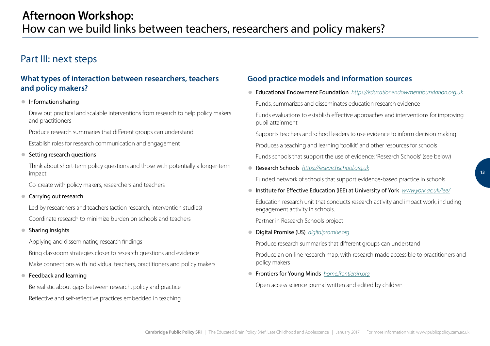## <span id="page-12-0"></span>Part III: next steps

#### **What types of interaction between researchers, teachers and policy makers?**

#### ● Information sharing

Draw out practical and scalable interventions from research to help policy makers and practitioners

Produce research summaries that different groups can understand

Establish roles for research communication and engagement

#### ● Setting research questions

Think about short-term policy questions and those with potentially a longer-term impact

Co-create with policy makers, researchers and teachers

#### ● Carrying out research

Led by researchers and teachers (action research, intervention studies) Coordinate research to minimize burden on schools and teachers

#### ● Sharing insights

Applying and disseminating research findings

Bring classroom strategies closer to research questions and evidence

Make connections with individual teachers, practitioners and policy makers

● Feedback and learning

Be realistic about gaps between research, policy and practice Reflective and self-reflective practices embedded in teaching

#### **Good practice models and information sources**

● Educational Endowment Foundation *https://educationendowmentfoundation.org.uk*

Funds, summarizes and disseminates education research evidence

Funds evaluations to establish effective approaches and interventions for improving pupil attainment

Supports teachers and school leaders to use evidence to inform decision making

Produces a teaching and learning 'toolkit' and other resources for schools

Funds schools that support the use of evidence: 'Research Schools' (see below)

● Research Schools *https://researchschool.org.uk*

Funded network of schools that support evidence-based practice in schools

● Institute for Effective Education (IEE) at University of York *www.york.ac.uk/iee/* 

Education research unit that conducts research activity and impact work, including engagement activity in schools.

Partner in Research Schools project

● Digital Promise (US) *digitalpromise.org*

Produce research summaries that different groups can understand

Produce an on-line research map, with research made accessible to practitioners and policy makers

● Frontiers for Young Minds *home.frontiersin.org*

Open access science journal written and edited by children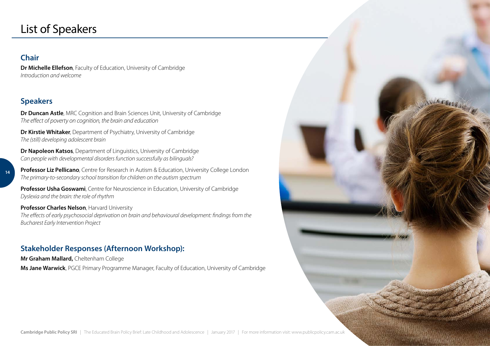# <span id="page-13-0"></span>List of Speakers

#### **Chair**

**Dr Michelle Ellefson**, Faculty of Education, University of Cambridge *Introduction and welcome*

#### **Speakers**

**Dr Duncan Astle**, MRC Cognition and Brain Sciences Unit, University of Cambridge *The effect of poverty on cognition, the brain and education* 

**Dr Kirstie Whitaker**, Department of Psychiatry, University of Cambridge *The (still) developing adolescent brain*

**Dr Napoleon Katsos**, Department of Linguistics, University of Cambridge *Can people with developmental disorders function successfully as bilinguals?* 

**14**

**Professor Liz Pellicano**, Centre for Research in Autism & Education, University College London *The primary-to-secondary school transition for children on the autism spectrum*

**Professor Usha Goswami**, Centre for Neuroscience in Education, University of Cambridge *Dyslexia and the brain: the role of rhythm* 

**Professor Charles Nelson**, Harvard University *The effects of early psychosocial deprivation on brain and behavioural development: findings from the Bucharest Early Intervention Project*

### **Stakeholder Responses (Afternoon Workshop):**

**Mr Graham Mallard,** Cheltenham College **Ms Jane Warwick**, PGCE Primary Programme Manager, Faculty of Education, University of Cambridge **WAS SERR**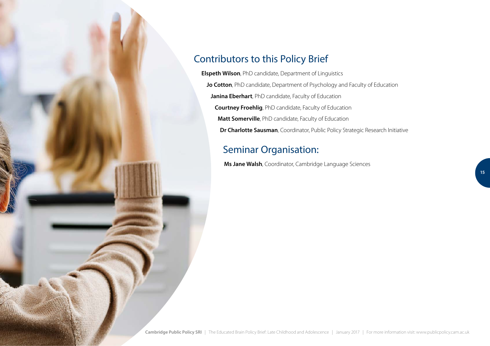

## Contributors to this Policy Brief

**Elspeth Wilson**, PhD candidate, Department of Linguistics **Jo Cotton**, PhD candidate, Department of Psychology and Faculty of Education **Janina Eberhart**, PhD candidate, Faculty of Education **Courtney Froehlig**, PhD candidate, Faculty of Education **Matt Somerville**, PhD candidate, Faculty of Education **Dr Charlotte Sausman**, Coordinator, Public Policy Strategic Research Initiative

## Seminar Organisation:

**Ms Jane Walsh**, Coordinator, Cambridge Language Sciences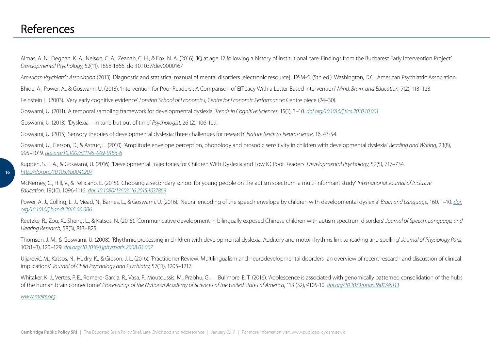## <span id="page-15-0"></span>References

Almas, A. N., Degnan, K. A., Nelson, C. A., Zeanah, C. H., & Fox, N. A. (2016). 'IQ at age 12 following a history of institutional care: Findings from the Bucharest Early Intervention Project' *Developmental Psychology*, 52(11), 1858-1866. doi:10.1037/dev0000167

*American Psychiatric Association* (2013). Diagnostic and statistical manual of mental disorders [electronic resource] : DSM-5. (5th ed.). Washington, D.C.: American Psychiatric Association.

Bhide, A., Power, A., & Goswami, U. (2013). 'Intervention for Poor Readers : A Comparison of Efficacy With a Letter-Based Intervention' *Mind, Brain, and Education*, 7(2), 113–123.

Feinstein L. (2003). 'Very early cognitive evidence' *London School of Economics, Centre for Economic Performance*; Centre piece (24–30).

Goswami, U. (2011). 'A temporal sampling framework for developmental dyslexia' *Trends in Cognitive Sciences*, 15(1), 3–10. *doi.org/10.1016/j.tics.2010.10.001*

Goswami, U. (2013). 'Dyslexia – in tune but out of time' *Psychologist*, 26 (2), 106-109.

Goswami, U. (2015). Sensory theories of developmental dyslexia: three challenges for research' *Nature Reviews Neuroscience*, 16, 43-54.

Goswami, U., Gerson, D., & Astruc, L. (2010). 'Amplitude envelope perception, phonology and prosodic sensitivity in children with developmental dyslexia' *Reading and Writing*, 23(8), 995–1019. *doi.org/10.1007/s11145-009-9186-6*

Kuppen, S. E. A., & Goswami, U. (2016). 'Developmental Trajectories for Children With Dyslexia and Low IQ Poor Readers' *Developmental Psychology*, 52(5), 717–734. *http://doi.org/10.1037/a0040207*

McNerney, C., Hill, V., & Pellicano, E. (2015). 'Choosing a secondary school for young people on the autism spectrum: a multi-informant study' *International Journal of Inclusive Education*, 19(10), 1096-1116. *doi: 10.1080/13603116.2015.1037869*

Power, A. J., Colling, L. J., Mead, N., Barnes, L., & Goswami, U. (2016). 'Neural encoding of the speech envelope by children with developmental dyslexia' *Brain and Language*, 160, 1–10. *doi. org/10.1016/j.bandl.2016.06.006*

Reetzke, R., Zou, X., Sheng, L., & Katsos, N. (2015). 'Communicative development in bilingually exposed Chinese children with autism spectrum disorders' *Journal of Speech, Language, and Hearing Research*, 58(3), 813–825.

Thomson, J. M., & Goswami, U. (2008). 'Rhythmic processing in children with developmental dyslexia: Auditory and motor rhythms link to reading and spelling' *Journal of Physiology Paris*, 102(1–3), 120–129. *doi.org/10.1016/j.jphysparis.2008.03.007*

Uljarević, M., Katsos, N., Hudry, K., & Gibson, J. L. (2016). 'Practitioner Review: Multilingualism and neurodevelopmental disorders–an overview of recent research and discussion of clinical implications' *Journal of Child Psychology and Psychiatry*, 57(11), 1205–1217.

Whitaker, K. J., Vertes, P. E., Romero-Garcia, R., Vasa, F., Moutoussis, M., Prabhu, G., …Bullmore, E. T. (2016). 'Adolescence is associated with genomically patterned consolidation of the hubs of the human brain connectome' *Proceedings of the National Academy of Sciences of the United States of America*, 113 (32), 9105-10. *doi.org/10.1073/pnas.1601745113*

*www.meits.org*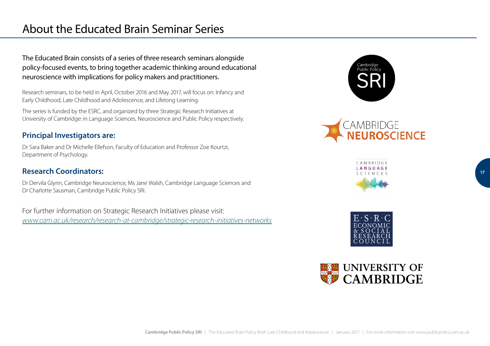# About the Educated Brain Seminar Series

The Educated Brain consists of a series of three research seminars alongside policy-focused events, to bring together academic thinking around educational neuroscience with implications for policy makers and practitioners.

Research seminars, to be held in April, October 2016 and May 2017, will focus on: Infancy and Early Childhood, Late Childhood and Adolescence, and Lifelong Learning.

The series is funded by the ESRC, and organized by three Strategic Research Initiatives at University of Cambridge: in Language Sciences, Neuroscience and Public Policy respectively.

#### **Principal Investigators are:**

Dr Sara Baker and Dr Michelle Ellefson, Faculty of Education and Professor Zoe Kourtzi, Department of Psychology.

#### **Research Coordinators:**

Dr Dervila Glynn, Cambridge Neuroscience, Ms Jane Walsh, Cambridge Language Sciences and Dr Charlotte Sausman, Cambridge Public Policy SRI.

For further information on Strategic Research Initiatives please visit: *www.cam.ac.uk/research/research-at-cambridge/strategic-research-initiatives-networks*









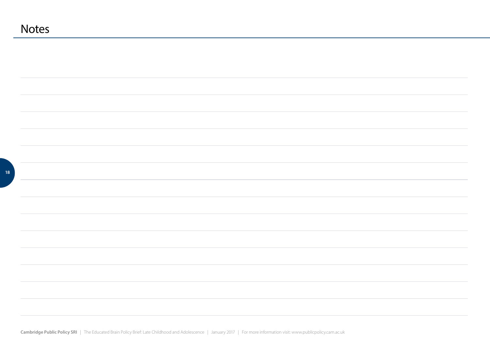| <b>Notes</b> |  |
|--------------|--|
|              |  |
|              |  |
|              |  |
|              |  |
|              |  |
|              |  |
|              |  |
|              |  |
|              |  |
|              |  |
|              |  |
|              |  |
|              |  |
|              |  |
|              |  |
|              |  |
|              |  |
|              |  |
|              |  |
|              |  |
|              |  |
|              |  |
|              |  |
|              |  |
|              |  |
|              |  |
|              |  |

**Cambridge Public Policy SRI** | The Educated Brain Policy Brief: Late Childhood and Adolescence | January 2017 | For more information visit: www.publicpolicy.cam.ac.uk